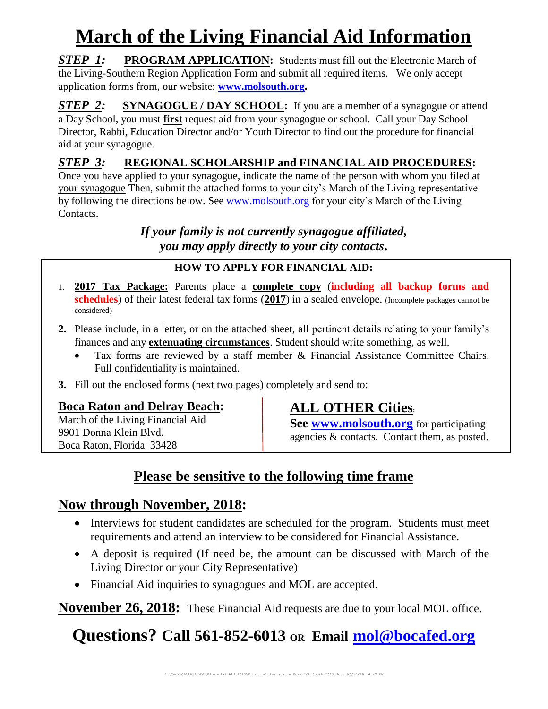# **March of the Living Financial Aid Information**

**STEP 1:** PROGRAM APPLICATION: Students must fill out the Electronic March of the Living-Southern Region Application Form and submit all required items. We only accept application forms from, our website: **[www.molsouth.org.](http://www.molsouth.org/)**

**STEP 2: SYNAGOGUE** / DAY SCHOOL: If you are a member of a synagogue or attend a Day School, you must **first** request aid from your synagogue or school.Call your Day School Director, Rabbi, Education Director and/or Youth Director to find out the procedure for financial aid at your synagogue.

## *STEP 3:* **REGIONAL SCHOLARSHIP and FINANCIAL AID PROCEDURES:**

Once you have applied to your synagogue, indicate the name of the person with whom you filed at your synagogue Then, submit the attached forms to your city's March of the Living representative by following the directions below. See [www.molsouth.org](http://www.molsouth.org/) for your city's March of the Living Contacts.

> *If your family is not currently synagogue affiliated, you may apply directly to your city contacts***.**

#### **HOW TO APPLY FOR FINANCIAL AID:**

- 1. **2017 Tax Package:** Parents place a **complete copy** (**including all backup forms and schedules**) of their latest federal tax forms (**2017**) in a sealed envelope. (Incomplete packages cannot be considered)
- **2.** Please include, in a letter, or on the attached sheet, all pertinent details relating to your family's finances and any **extenuating circumstances**. Student should write something, as well.
	- Tax forms are reviewed by a staff member & Financial Assistance Committee Chairs. Full confidentiality is maintained.
- **3.** Fill out the enclosed forms (next two pages) completely and send to:

#### **Boca Raton and Delray Beach:**

March of the Living Financial Aid 9901 Donna Klein Blvd. Boca Raton, Florida 33428

## **ALL OTHER Cities:**

**See [www.molsouth.org](http://www.molsouth.org/)** for participating agencies & contacts. Contact them, as posted.

## **Please be sensitive to the following time frame**

## **Now through November, 2018:**

- Interviews for student candidates are scheduled for the program. Students must meet requirements and attend an interview to be considered for Financial Assistance.
- A deposit is required (If need be, the amount can be discussed with March of the Living Director or your City Representative)
- Financial Aid inquiries to synagogues and MOL are accepted.

**November 26, 2018:** These Financial Aid requests are due to your local MOL office.

## **Questions? Call 561-852-6013 OR Email [mol@bocafed.org](mailto:mol@bocafed.org)**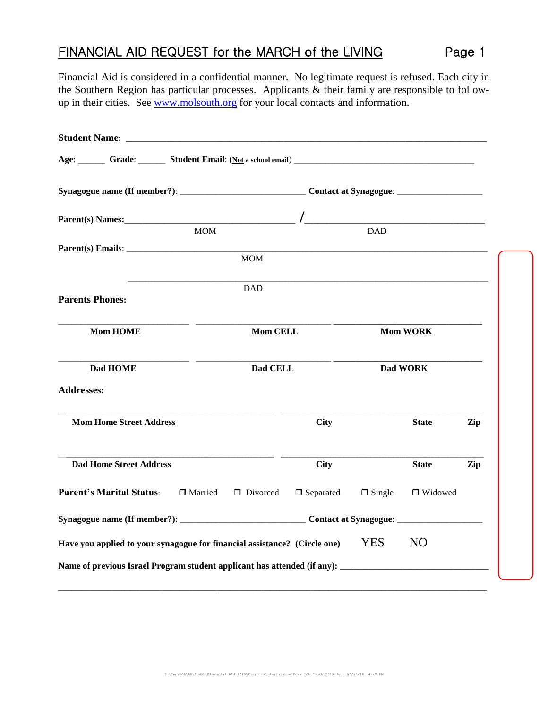## FINANCIAL AID REQUEST for the MARCH of the LIVING Page 1

Financial Aid is considered in a confidential manner. No legitimate request is refused. Each city in the Southern Region has particular processes. Applicants & their family are responsible to followup in their cities. See [www.molsouth.org](http://www.molsouth.org/) for your local contacts and information.

|                                                                                                      | <b>MOM</b>            |                  | <b>DAD</b>      |                |     |
|------------------------------------------------------------------------------------------------------|-----------------------|------------------|-----------------|----------------|-----|
|                                                                                                      | <b>MOM</b>            |                  |                 |                |     |
| <b>Parents Phones:</b>                                                                               | <b>DAD</b>            |                  |                 |                |     |
| <b>Mom HOME</b>                                                                                      | <b>Mom CELL</b>       |                  | <b>Mom WORK</b> |                |     |
| Dad HOME                                                                                             | Dad CELL              |                  | Dad WORK        |                |     |
| <b>Addresses:</b>                                                                                    |                       |                  |                 |                |     |
| <b>Mom Home Street Address</b>                                                                       |                       | <b>City</b>      |                 | <b>State</b>   | Zip |
| <b>Dad Home Street Address</b>                                                                       |                       | <b>City</b>      |                 | <b>State</b>   | Zip |
| <b>Parent's Marital Status:</b>                                                                      | □ Married<br>Divorced | $\Box$ Separated | $\Box$ Single   | □ Widowed      |     |
|                                                                                                      |                       |                  |                 |                |     |
| Have you applied to your synagogue for financial assistance? (Circle one)                            |                       |                  | <b>YES</b>      | N <sub>O</sub> |     |
| Name of previous Israel Program student applicant has attended (if any): ___________________________ |                       |                  |                 |                |     |
|                                                                                                      |                       |                  |                 |                |     |